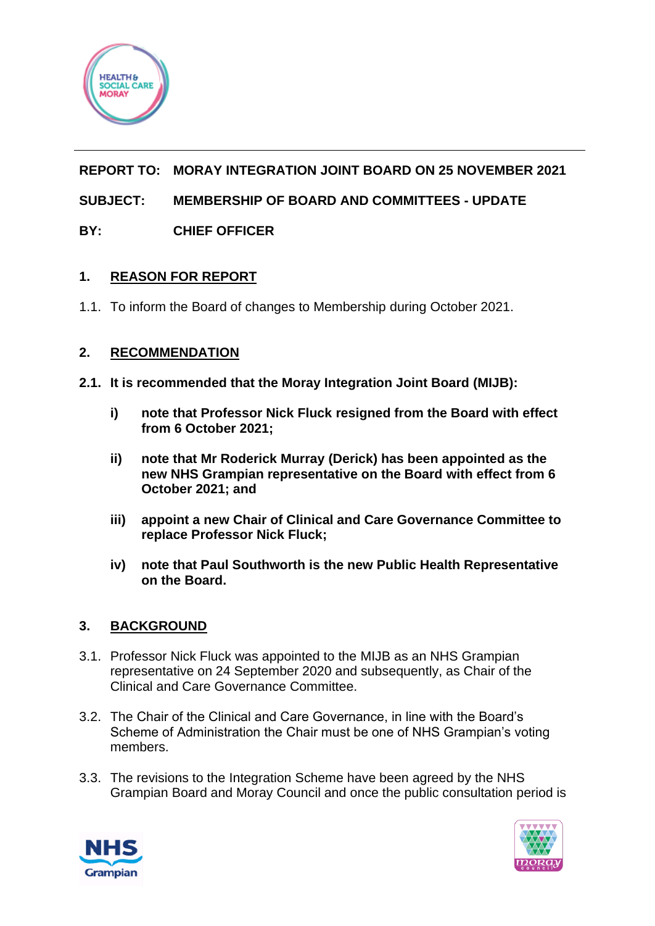

# **REPORT TO: MORAY INTEGRATION JOINT BOARD ON 25 NOVEMBER 2021**

## **SUBJECT: MEMBERSHIP OF BOARD AND COMMITTEES - UPDATE**

### **BY: CHIEF OFFICER**

### **1. REASON FOR REPORT**

1.1. To inform the Board of changes to Membership during October 2021.

### **2. RECOMMENDATION**

- **2.1. It is recommended that the Moray Integration Joint Board (MIJB):**
	- **i) note that Professor Nick Fluck resigned from the Board with effect from 6 October 2021;**
	- **ii) note that Mr Roderick Murray (Derick) has been appointed as the new NHS Grampian representative on the Board with effect from 6 October 2021; and**
	- **iii) appoint a new Chair of Clinical and Care Governance Committee to replace Professor Nick Fluck;**
	- **iv) note that Paul Southworth is the new Public Health Representative on the Board.**

### **3. BACKGROUND**

- 3.1. Professor Nick Fluck was appointed to the MIJB as an NHS Grampian representative on 24 September 2020 and subsequently, as Chair of the Clinical and Care Governance Committee.
- 3.2. The Chair of the Clinical and Care Governance, in line with the Board's Scheme of Administration the Chair must be one of NHS Grampian's voting members.
- 3.3. The revisions to the Integration Scheme have been agreed by the NHS Grampian Board and Moray Council and once the public consultation period is



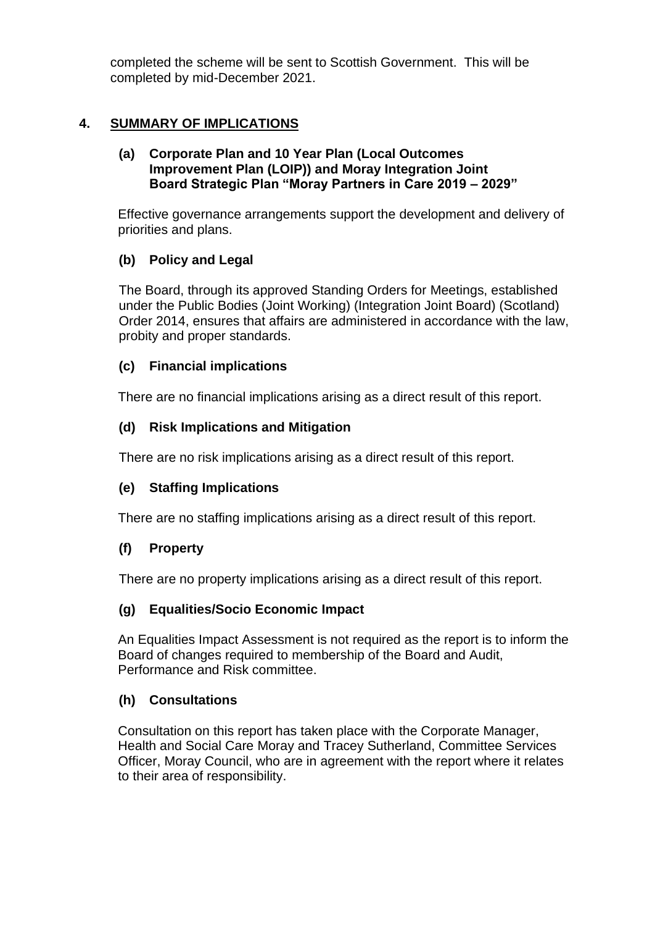completed the scheme will be sent to Scottish Government. This will be completed by mid-December 2021.

## **4. SUMMARY OF IMPLICATIONS**

#### **(a) Corporate Plan and 10 Year Plan (Local Outcomes Improvement Plan (LOIP)) and Moray Integration Joint Board Strategic Plan "Moray Partners in Care 2019 – 2029"**

Effective governance arrangements support the development and delivery of priorities and plans.

### **(b) Policy and Legal**

The Board, through its approved Standing Orders for Meetings, established under the Public Bodies (Joint Working) (Integration Joint Board) (Scotland) Order 2014, ensures that affairs are administered in accordance with the law, probity and proper standards.

### **(c) Financial implications**

There are no financial implications arising as a direct result of this report.

### **(d) Risk Implications and Mitigation**

There are no risk implications arising as a direct result of this report.

### **(e) Staffing Implications**

There are no staffing implications arising as a direct result of this report.

### **(f) Property**

There are no property implications arising as a direct result of this report.

### **(g) Equalities/Socio Economic Impact**

An Equalities Impact Assessment is not required as the report is to inform the Board of changes required to membership of the Board and Audit, Performance and Risk committee.

### **(h) Consultations**

Consultation on this report has taken place with the Corporate Manager, Health and Social Care Moray and Tracey Sutherland, Committee Services Officer, Moray Council, who are in agreement with the report where it relates to their area of responsibility.